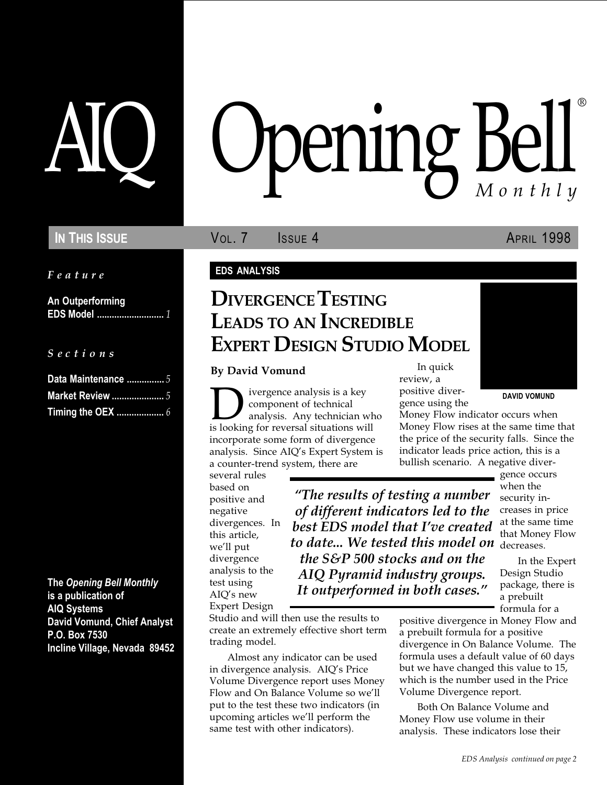Feature

An Outperforming EDS Model ........................... 1

S e c t i o n s

| Data Maintenance  5     |  |
|-------------------------|--|
| <b>Market Review </b> 5 |  |
|                         |  |

The Opening Bell Monthly is a publication of AIQ Systems David Vomund, Chief Analyst P.O. Box 7530 Incline Village, Nevada 89452

# pening Bell ®

IN THIS ISSUE **VOL. 7** ISSUE 4 APRIL 1998

#### EDS ANALYSIS

# DIVERGENCE TESTING LEADS TO AN INCREDIBLE EXPERT DESIGN STUDIO MODEL

#### By David Vomund

**D**ivergence analysis is a key<br>component of technical<br>is looking for reversal situations will component of technical analysis. Any technician who incorporate some form of divergence analysis. Since AIQ's Expert System is a counter-trend system, there are

several rules based on positive and negative divergences. In this article, we'll put divergence analysis to the test using AIQ's new Expert Design

to date... We tested this model on <sub>decreases.</sub> The results of testing a number of different indicators led to the best EDS model that I've created the S&P 500 stocks and on the AIQ Pyramid industry groups. It outperformed in both cases.

Studio and will then use the results to create an extremely effective short term trading model.

Almost any indicator can be used in divergence analysis. AIQ's Price Volume Divergence report uses Money Flow and On Balance Volume so we'll put to the test these two indicators (in upcoming articles we'll perform the same test with other indicators).

In quick review, a

positive divergence using the

Money Flow indicator occurs when Money Flow rises at the same time that the price of the security falls. Since the indicator leads price action, this is a bullish scenario. A negative diver-

gence occurs when the security increases in price at the same time that Money Flow

In the Expert Design Studio package, there is a prebuilt formula for a

positive divergence in Money Flow and a prebuilt formula for a positive divergence in On Balance Volume. The formula uses a default value of 60 days but we have changed this value to 15, which is the number used in the Price Volume Divergence report.

Both On Balance Volume and Money Flow use volume in their analysis. These indicators lose their

DAVID VOMUND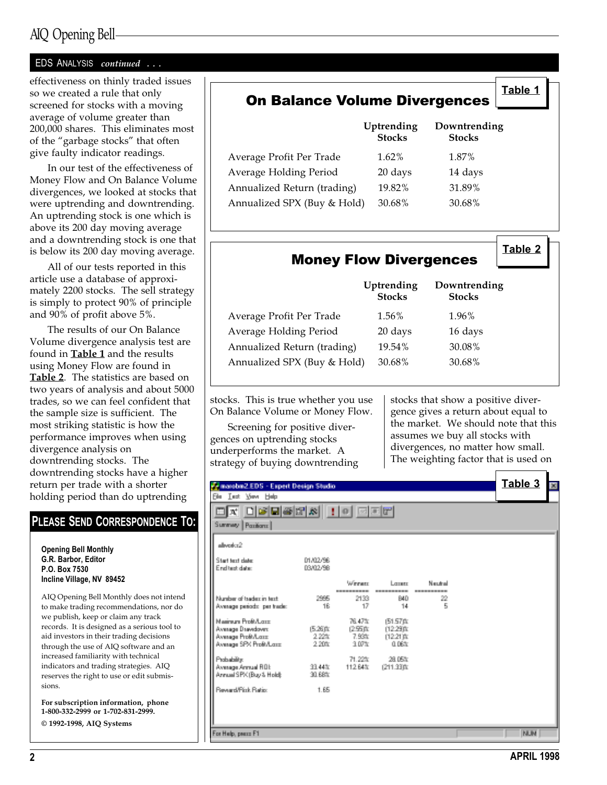## AIQ Opening Bell

#### EDS ANALYSIS continued ...

effectiveness on thinly traded issues so we created a rule that only screened for stocks with a moving average of volume greater than 200,000 shares. This eliminates most of the "garbage stocks" that often give faulty indicator readings.

In our test of the effectiveness of Money Flow and On Balance Volume divergences, we looked at stocks that were uptrending and downtrending. An uptrending stock is one which is above its 200 day moving average and a downtrending stock is one that is below its 200 day moving average.

All of our tests reported in this article use a database of approximately 2200 stocks. The sell strategy is simply to protect 90% of principle and 90% of profit above 5%.

The results of our On Balance Volume divergence analysis test are found in Table 1 and the results using Money Flow are found in Table 2. The statistics are based on two years of analysis and about 5000 trades, so we can feel confident that the sample size is sufficient. The most striking statistic is how the performance improves when using divergence analysis on downtrending stocks. The downtrending stocks have a higher return per trade with a shorter holding period than do uptrending

#### 미치 미여민족대체  $\pm |v|$  deep PLEASE SEND CORRESPONDENCE TO: Summey Pacificns allocater2 Opening Bell Monthly G.R. Barbor, Editor 01/02/98 Start text date End test date: 03/02/98 Incline Village, NV 89452 Winness Lorenz Neutral AIQ Opening Bell Monthly does not intend Number of trademinister. 2995 2133 BAD  $\langle \psi \rangle$ Avenage periods per trade 5 to make trading recommendations, nor do 18 17 -14 we publish, keep or claim any track 76,47% Masinum Profit/Long (51.57 ft) records. It is designed as a serious tool to (5.26) (b) Avenage Daeadover. 临野庙 (12.29ft Avenage ProftA.com aid investors in their trading decisions 2.22% 7.93% (12.21) Avenuge SPX Profit/Local 2,20% 3.07% 0.06% through the use of AIQ software and an increased familiarity with technical 28,05% Probabilitie 71.22% Avenuge Armual FIDE indicators and trading strategies. AIQ 33,44% 112.64% (211.33)% Annual SPX (Buy & Hold) 30,68% reserves the right to use or edit submis-**Bevard/Fisk Batio** 1.65 For subscription information, phone 1-800-332-2999 or 1-702-831-2999. © 1992-1998, AIQ Systems **NUM** For Help, passe F1

## On Balance Volume Divergences

Uptrending Downtrending

|                             | <b>Stocks</b> | <b>Stocks</b> |
|-----------------------------|---------------|---------------|
| Average Profit Per Trade    | $1.62\%$      | 1.87%         |
| Average Holding Period      | 20 days       | 14 days       |
| Annualized Return (trading) | 19.82%        | 31.89%        |
| Annualized SPX (Buy & Hold) | 30.68%        | 30.68%        |
|                             |               |               |

Table 2

Table 3

Table 1

|                             | Uptrending<br><b>Stocks</b> | Downtrending<br><b>Stocks</b> |
|-----------------------------|-----------------------------|-------------------------------|
| Average Profit Per Trade    | 1.56%                       | 1.96%                         |
| Average Holding Period      | 20 days                     | 16 days                       |
| Annualized Return (trading) | 19.54%                      | 30.08%                        |
| Annualized SPX (Buy & Hold) | 30.68%                      | 30.68%                        |

Money Flow Divergences

stocks. This is true whether you use On Balance Volume or Money Flow.

Screening for positive divergences on uptrending stocks underperforms the market. A strategy of buying downtrending

marchin Z.EDS - Expert Design Studio

New Help

Film **Lest**  stocks that show a positive divergence gives a return about equal to the market. We should note that this assumes we buy all stocks with divergences, no matter how small. The weighting factor that is used on

sions.

P.O. Box 7530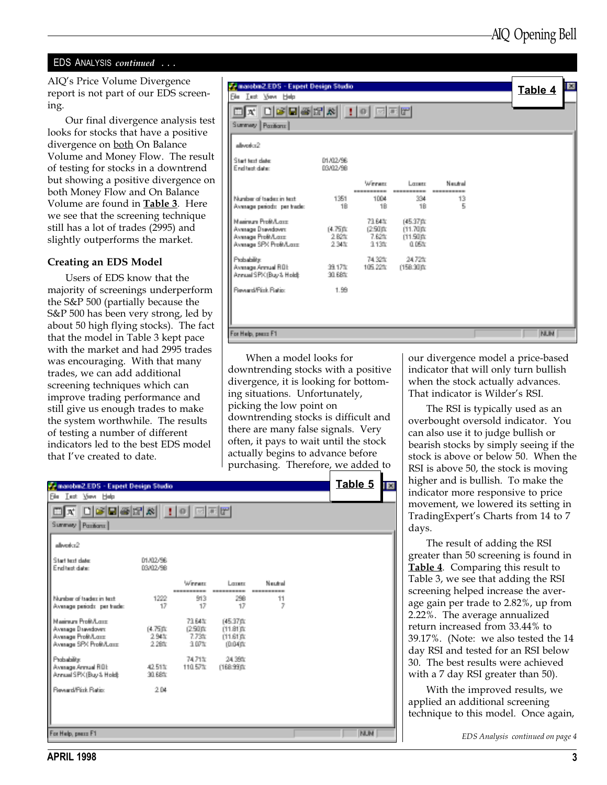#### EDS ANALYSIS continued ...

AIQ's Price Volume Divergence report is not part of our EDS screening.

Our final divergence analysis test looks for stocks that have a positive divergence on **both** On Balance Volume and Money Flow. The result of testing for stocks in a downtrend but showing a positive divergence on both Money Flow and On Balance Volume are found in **Table 3**. Here we see that the screening technique still has a lot of trades (2995) and slightly outperforms the market.

#### Creating an EDS Model

Users of EDS know that the majority of screenings underperform the S&P 500 (partially because the S&P 500 has been very strong, led by about 50 high flying stocks). The fact that the model in Table 3 kept pace with the market and had 2995 trades was encouraging. With that many trades, we can add additional screening techniques which can improve trading performance and still give us enough trades to make the system worthwhile. The results of testing a number of different indicators led to the best EDS model that I've created to date.

| We manufam2.EDS - Expert Design Studio<br><b>Ele Lest Mey Help</b><br>OK OGHGEA !! O EET     |                       |                                       |                                                 |                                  |  | 図<br>Table 4 |
|----------------------------------------------------------------------------------------------|-----------------------|---------------------------------------|-------------------------------------------------|----------------------------------|--|--------------|
| Summey Pacificns<br>allowshed?<br>Start text date:<br>Find bud chairs.                       | 01/02/98<br>13/02/98  |                                       |                                                 |                                  |  |              |
| Number of traders in text:<br>Avenuan periodo, per trade:                                    | 1351<br>$-18$         | <b>Winner</b><br>1004<br>18           | Lorent:<br>334<br>$-18$                         | Mandowl<br>13<br>$\mathcal{L}_i$ |  |              |
| Manimum Profit/Long.<br>Avenuen Danadover.<br>Avenuen Profi/Lenn<br>Avenues SPX Profit/Lease | 体质面<br>2.82%<br>2.34% | 73,64%<br>- 12.50 m<br>7.62%<br>3.13% | 145.37 ft.<br>111,700:<br>[11.50ft]<br>$-0.05%$ |                                  |  |              |
| Probability:<br>Avenues Armuel ROE<br>Annual S PK (Buo & Hold):                              | 39.17%<br>90.88%      | 74,32%                                | 24,72%<br>105.22% (158.90%)                     |                                  |  |              |
| <b>ResearchFirst Fasting</b><br>For Hylp, peace F1                                           | $+99$                 |                                       |                                                 |                                  |  | <b>NUM</b>   |

When a model looks for downtrending stocks with a positive divergence, it is looking for bottoming situations. Unfortunately, picking the low point on downtrending stocks is difficult and there are many false signals. Very often, it pays to wait until the stock actually begins to advance before purchasing. Therefore, we added to

Table 5 **T** manubin2.EDS - Expert Design Studio Let: New Help 미치 미녀민족대성  $\mathbb{R}$ 因其間 ш Summey Pacificns allocator2 01/02/98 Start text clate: End test date: 03/02/98  $\omega_{\rm trans}$ Losses Neutral Number of tradective text: 913 299 1222 11 Avenage periods per trade 17 17 17 Masimum Profit/Long 79 R45 (45.37 ft) (4.75)]; Avenage Drawdown: (2.50) it. 011.810a Average Profit/Long 2.94% 7.73% 01.610: Avenage SPX Profit/Loop 2,28% 3.07% 0.00% Probability: 74.71% 24,39% Avenage Armual ROE 42.51% 110.57% (168.99 ft) Annual SPX (Buy & Hold): 30,68% **Bevand/Fisk Batist** 2.04 **NUM** For Help, peace F1

our divergence model a price-based indicator that will only turn bullish when the stock actually advances. That indicator is Wilder's RSI.

The RSI is typically used as an overbought oversold indicator. You can also use it to judge bullish or bearish stocks by simply seeing if the stock is above or below 50. When the RSI is above 50, the stock is moving higher and is bullish. To make the indicator more responsive to price movement, we lowered its setting in TradingExpert's Charts from 14 to 7 days.

The result of adding the RSI greater than 50 screening is found in Table 4. Comparing this result to Table 3, we see that adding the RSI screening helped increase the average gain per trade to 2.82%, up from 2.22%. The average annualized return increased from 33.44% to 39.17%. (Note: we also tested the 14 day RSI and tested for an RSI below 30. The best results were achieved with a 7 day RSI greater than 50).

With the improved results, we applied an additional screening technique to this model. Once again,

EDS Analysis continued on page 4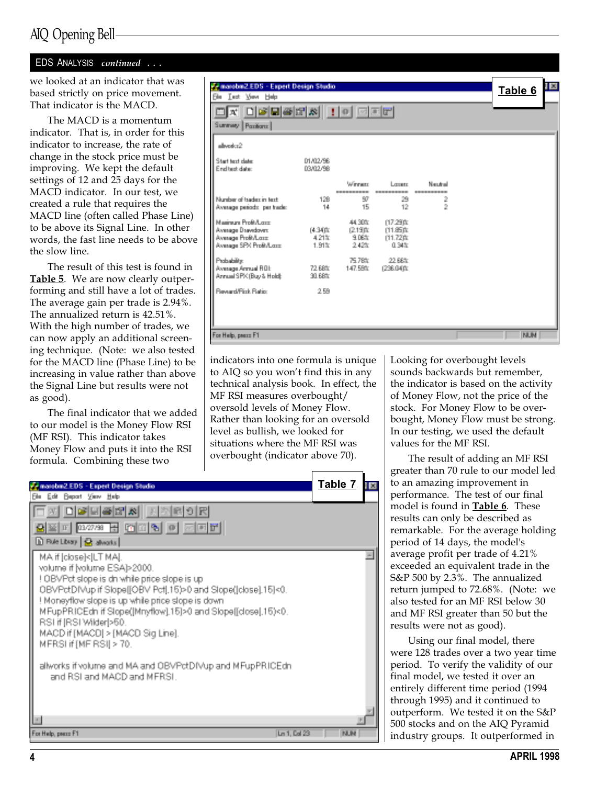## AIQ Opening Bell

#### EDS ANALYSIS continued ...

we looked at an indicator that was based strictly on price movement. That indicator is the MACD.

The MACD is a momentum indicator. That is, in order for this indicator to increase, the rate of change in the stock price must be improving. We kept the default settings of 12 and 25 days for the MACD indicator. In our test, we created a rule that requires the MACD line (often called Phase Line) to be above its Signal Line. In other words, the fast line needs to be above the slow line.

The result of this test is found in Table 5. We are now clearly outperforming and still have a lot of trades. The average gain per trade is 2.94%. The annualized return is 42.51%. With the high number of trades, we can now apply an additional screening technique. (Note: we also tested for the MACD line (Phase Line) to be increasing in value rather than above the Signal Line but results were not as good).

The final indicator that we added to our model is the Money Flow RSI (MF RSI). This indicator takes Money Flow and puts it into the RSI formula. Combining these two

| Managem 2.EDS - Expert Design Studio<br><b>Sie Let Ven Heb</b>                                |                       |                                     |                                                  |             | Table 6    | 18 |
|-----------------------------------------------------------------------------------------------|-----------------------|-------------------------------------|--------------------------------------------------|-------------|------------|----|
| X 미예민족에서 ! 이 피피에<br>Summay   Pauliana                                                         |                       |                                     |                                                  |             |            |    |
| allowshed?                                                                                    |                       |                                     |                                                  |             |            |    |
| Start text date:<br>Find twittebates                                                          | 01/02/96<br>D3/02/98  |                                     |                                                  |             |            |    |
|                                                                                               |                       | <b>US</b> measure                   | Lorentz<br><b><i>STATISTICS IN AN INCHES</i></b> | Mandowl     |            |    |
| Mundair of traders in text.<br>Avenues periodo, per trade:                                    | $-129$<br>$-14.$      | -97<br>- 15                         | 29<br>12.                                        | 2<br>$\geq$ |            |    |
| Masimum Profit/Loop<br>Avenuen Danadover.<br>Avenuae Profit/Later<br>Avenage SPX Profit/Loan: | 体制作<br>4.21%<br>1.91% | 44,30%<br>(219) 年<br>9.06年<br>2.42% | (17.29 ft)<br>(11.85歳)<br>(11.720)<br>0.34%      |             |            |    |
| Probability<br>Avenueur Armsell FIDE<br>Annual SPA (Buo & Holdi:                              | 72,68%<br>90.88%      | 75,78%<br>147,59%                   | 22,66%<br>(236.04ff)                             |             |            |    |
| <b>Research First Flating</b>                                                                 | $-2.59$               |                                     |                                                  |             |            |    |
| For Help, peace F1                                                                            |                       |                                     |                                                  |             | <b>NUM</b> |    |

indicators into one formula is unique to AIQ so you won't find this in any technical analysis book. In effect, the MF RSI measures overbought/ oversold levels of Money Flow. Rather than looking for an oversold level as bullish, we looked for situations where the MF RSI was overbought (indicator above 70).



Looking for overbought levels sounds backwards but remember, the indicator is based on the activity of Money Flow, not the price of the stock. For Money Flow to be overbought, Money Flow must be strong. In our testing, we used the default values for the MF RSI.

The result of adding an MF RSI greater than 70 rule to our model led to an amazing improvement in performance. The test of our final model is found in **Table 6**. These results can only be described as remarkable. For the average holding period of 14 days, the model's average profit per trade of 4.21% exceeded an equivalent trade in the S&P 500 by 2.3%. The annualized return jumped to 72.68%. (Note: we also tested for an MF RSI below 30 and MF RSI greater than 50 but the results were not as good).

Using our final model, there were 128 trades over a two year time period. To verify the validity of our final model, we tested it over an entirely different time period (1994 through 1995) and it continued to outperform. We tested it on the S&P 500 stocks and on the AIQ Pyramid industry groups. It outperformed in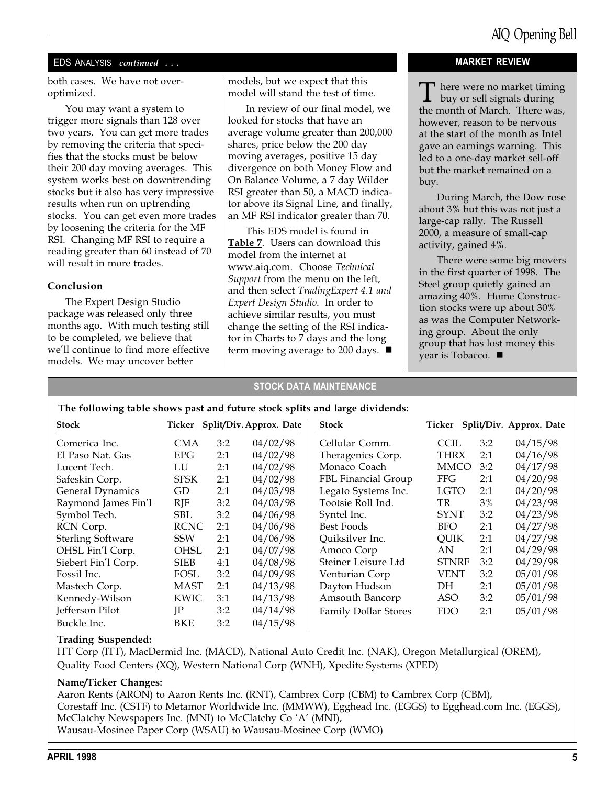#### EDS ANALYSIS continued ...

both cases. We have not overoptimized.

You may want a system to trigger more signals than 128 over two years. You can get more trades by removing the criteria that specifies that the stocks must be below their 200 day moving averages. This system works best on downtrending stocks but it also has very impressive results when run on uptrending stocks. You can get even more trades by loosening the criteria for the MF RSI. Changing MF RSI to require a reading greater than 60 instead of 70 will result in more trades.

#### Conclusion

The Expert Design Studio package was released only three months ago. With much testing still to be completed, we believe that we'll continue to find more effective models. We may uncover better

models, but we expect that this model will stand the test of time.

In review of our final model, we looked for stocks that have an average volume greater than 200,000 shares, price below the 200 day moving averages, positive 15 day divergence on both Money Flow and On Balance Volume, a 7 day Wilder RSI greater than 50, a MACD indicator above its Signal Line, and finally, an MF RSI indicator greater than 70.

This EDS model is found in Table 7. Users can download this model from the internet at www.aiq.com. Choose Technical Support from the menu on the left, and then select TradingExpert 4.1 and Expert Design Studio. In order to achieve similar results, you must change the setting of the RSI indicator in Charts to 7 days and the long term moving average to 200 days.  $\blacksquare$ 

#### MARKET REVIEW

There were no market timing buy or sell signals during the month of March. There was, however, reason to be nervous at the start of the month as Intel gave an earnings warning. This led to a one-day market sell-off but the market remained on a buy.

During March, the Dow rose about 3% but this was not just a large-cap rally. The Russell 2000, a measure of small-cap activity, gained 4%.

There were some big movers in the first quarter of 1998. The Steel group quietly gained an amazing 40%. Home Construction stocks were up about 30% as was the Computer Networking group. About the only group that has lost money this year is Tobacco.  $\blacksquare$ 

#### STOCK DATA MAINTENANCE

#### The following table shows past and future stock splits and large dividends:

| <b>Stock</b>             |             |     | Ticker Split/Div. Approx. Date | <b>Stock</b>                |              |     | Ticker Split/Div. Approx. Date |
|--------------------------|-------------|-----|--------------------------------|-----------------------------|--------------|-----|--------------------------------|
| Comerica Inc.            | <b>CMA</b>  | 3:2 | 04/02/98                       | Cellular Comm.              | <b>CCIL</b>  | 3:2 | 04/15/98                       |
| El Paso Nat. Gas         | <b>EPG</b>  | 2:1 | 04/02/98                       | Theragenics Corp.           | <b>THRX</b>  | 2:1 | 04/16/98                       |
| Lucent Tech.             | LU          | 2:1 | 04/02/98                       | Monaco Coach                | <b>MMCO</b>  | 3:2 | 04/17/98                       |
| Safeskin Corp.           | <b>SFSK</b> | 2:1 | 04/02/98                       | FBL Financial Group         | <b>FFG</b>   | 2:1 | 04/20/98                       |
| General Dynamics         | GD          | 2:1 | 04/03/98                       | Legato Systems Inc.         | <b>LGTO</b>  | 2:1 | 04/20/98                       |
| Raymond James Fin'l      | $R$ J $F$   | 3:2 | 04/03/98                       | Tootsie Roll Ind.           | TR           | 3%  | 04/23/98                       |
| Symbol Tech.             | <b>SBL</b>  | 3:2 | 04/06/98                       | Syntel Inc.                 | <b>SYNT</b>  | 3:2 | 04/23/98                       |
| RCN Corp.                | <b>RCNC</b> | 2:1 | 04/06/98                       | Best Foods                  | BFO.         | 2:1 | 04/27/98                       |
| <b>Sterling Software</b> | <b>SSW</b>  | 2:1 | 04/06/98                       | Quiksilver Inc.             | QUIK         | 2:1 | 04/27/98                       |
| OHSL Fin'l Corp.         | OHSL        | 2:1 | 04/07/98                       | Amoco Corp                  | AN           | 2:1 | 04/29/98                       |
| Siebert Fin'l Corp.      | <b>SIEB</b> | 4:1 | 04/08/98                       | Steiner Leisure Ltd         | <b>STNRF</b> | 3:2 | 04/29/98                       |
| Fossil Inc.              | <b>FOSL</b> | 3:2 | 04/09/98                       | Venturian Corp              | <b>VENT</b>  | 3:2 | 05/01/98                       |
| Mastech Corp.            | <b>MAST</b> | 2:1 | 04/13/98                       | Dayton Hudson               | DH           | 2:1 | 05/01/98                       |
| Kennedy-Wilson           | <b>KWIC</b> | 3:1 | 04/13/98                       | Amsouth Bancorp             | <b>ASO</b>   | 3:2 | 05/01/98                       |
| Jefferson Pilot          | JP          | 3:2 | 04/14/98                       | <b>Family Dollar Stores</b> | <b>FDO</b>   | 2:1 | 05/01/98                       |
| Buckle Inc.              | BKE         | 3:2 | 04/15/98                       |                             |              |     |                                |

#### Trading Suspended:

ITT Corp (ITT), MacDermid Inc. (MACD), National Auto Credit Inc. (NAK), Oregon Metallurgical (OREM), Quality Food Centers (XQ), Western National Corp (WNH), Xpedite Systems (XPED)

#### Name/Ticker Changes:

Aaron Rents (ARON) to Aaron Rents Inc. (RNT), Cambrex Corp (CBM) to Cambrex Corp (CBM), Corestaff Inc. (CSTF) to Metamor Worldwide Inc. (MMWW), Egghead Inc. (EGGS) to Egghead.com Inc. (EGGS), McClatchy Newspapers Inc. (MNI) to McClatchy Co 'A' (MNI), Wausau-Mosinee Paper Corp (WSAU) to Wausau-Mosinee Corp (WMO)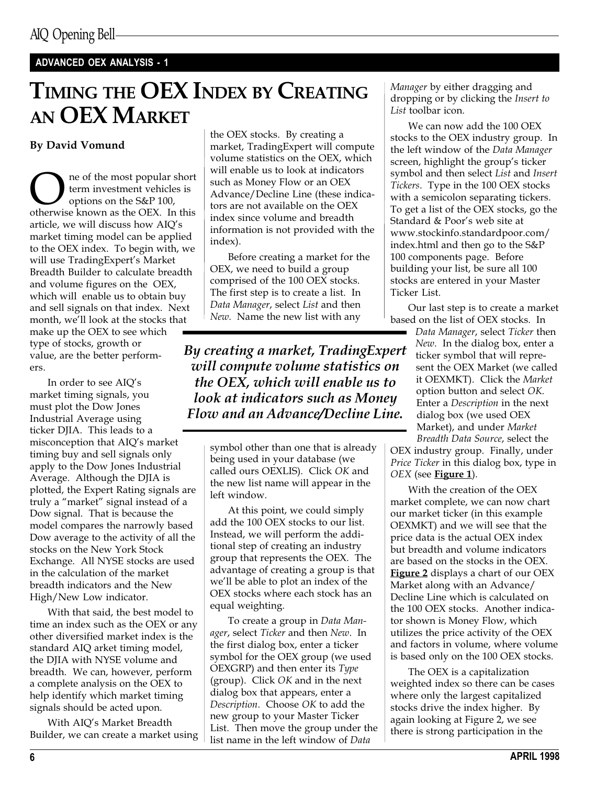## ADVANCED OEX ANALYSIS - 1

# TIMING THE OEX INDEX BY CREATING AN OEX MARKET

### By David Vomund

**OREC SET THE MANUS CONCRETE SET SURVEY SHOW THE SET SOURCE SET SOURCE SET SHOWS SHOW THE SET SHOWS SHOWS SHOWS SHOWS SHOWS SHOWS SHOWS SHOWS SHOWS SHOWS SHOWS SHOWS SHOWS SHOWS SHOWS SHOWS SHOWS SHOWS SHOWS SHOWS SHOWS SH** term investment vehicles is options on the S&P 100, article, we will discuss how AIQ's market timing model can be applied to the OEX index. To begin with, we will use TradingExpert's Market Breadth Builder to calculate breadth and volume figures on the OEX, which will enable us to obtain buy and sell signals on that index. Next month, we'll look at the stocks that make up the OEX to see which type of stocks, growth or value, are the better performers.

In order to see  $AIQ's$ market timing signals, you must plot the Dow Jones Industrial Average using ticker DJIA. This leads to a misconception that AIQ's market timing buy and sell signals only apply to the Dow Jones Industrial Average. Although the DJIA is plotted, the Expert Rating signals are truly a "market" signal instead of a Dow signal. That is because the model compares the narrowly based Dow average to the activity of all the stocks on the New York Stock Exchange. All NYSE stocks are used in the calculation of the market breadth indicators and the New High/New Low indicator.

With that said, the best model to time an index such as the OEX or any other diversified market index is the standard AIQ arket timing model, the DJIA with NYSE volume and breadth. We can, however, perform a complete analysis on the OEX to help identify which market timing signals should be acted upon.

With AIQ's Market Breadth Builder, we can create a market using

the OEX stocks. By creating a market, TradingExpert will compute volume statistics on the OEX, which will enable us to look at indicators such as Money Flow or an OEX Advance/Decline Line (these indicators are not available on the OEX index since volume and breadth information is not provided with the index).

Before creating a market for the OEX, we need to build a group comprised of the 100 OEX stocks. The first step is to create a list. In Data Manager, select List and then New. Name the new list with any

By creating a market, TradingExpert will compute volume statistics on the OEX, which will enable us to look at indicators such as Money Flow and an Advance/Decline Line.

> symbol other than one that is already being used in your database (we called ours OEXLIS). Click OK and the new list name will appear in the left window.

At this point, we could simply add the 100 OEX stocks to our list. Instead, we will perform the additional step of creating an industry group that represents the OEX. The advantage of creating a group is that we'll be able to plot an index of the OEX stocks where each stock has an equal weighting.

To create a group in Data Manager, select Ticker and then New. In the first dialog box, enter a ticker symbol for the OEX group (we used OEXGRP) and then enter its Type (group). Click OK and in the next dialog box that appears, enter a Description. Choose OK to add the new group to your Master Ticker List. Then move the group under the list name in the left window of Data

Manager by either dragging and dropping or by clicking the Insert to List toolbar icon.

We can now add the 100 OEX stocks to the OEX industry group. In the left window of the Data Manager screen, highlight the group's ticker symbol and then select List and Insert Tickers. Type in the 100 OEX stocks with a semicolon separating tickers. To get a list of the OEX stocks, go the Standard & Poor's web site at www.stockinfo.standardpoor.com/ index.html and then go to the S&P 100 components page. Before building your list, be sure all 100 stocks are entered in your Master Ticker List.

Our last step is to create a market based on the list of OEX stocks. In

Data Manager, select Ticker then New. In the dialog box, enter a ticker symbol that will represent the OEX Market (we called it OEXMKT). Click the Market option button and select OK. Enter a Description in the next dialog box (we used OEX Market), and under Market Breadth Data Source, select the

OEX industry group. Finally, under Price Ticker in this dialog box, type in  $OEX$  (see **Figure 1**).

With the creation of the OEX market complete, we can now chart our market ticker (in this example OEXMKT) and we will see that the price data is the actual OEX index but breadth and volume indicators are based on the stocks in the OEX. Figure 2 displays a chart of our OEX Market along with an Advance/ Decline Line which is calculated on the 100 OEX stocks. Another indicator shown is Money Flow, which utilizes the price activity of the OEX and factors in volume, where volume is based only on the 100 OEX stocks.

The OEX is a capitalization weighted index so there can be cases where only the largest capitalized stocks drive the index higher. By again looking at Figure 2, we see there is strong participation in the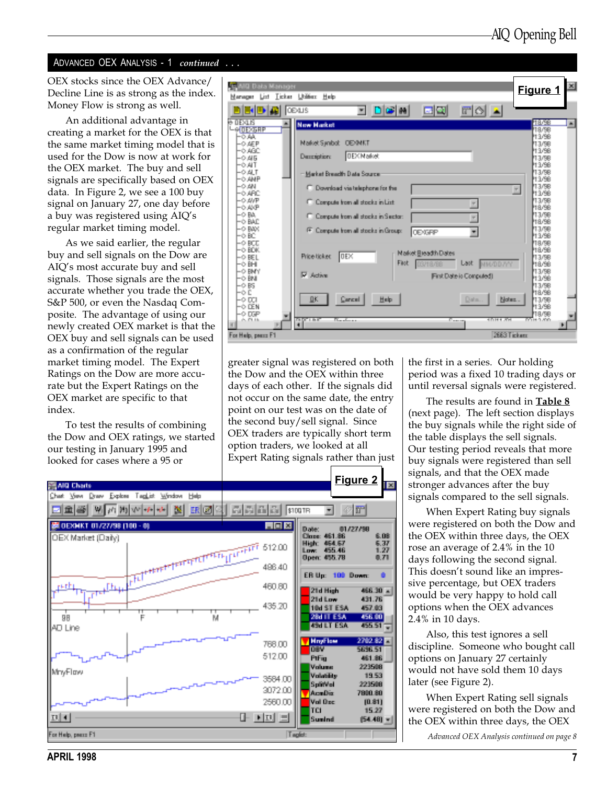#### ADVANCED OEX ANALYSIS - 1 continued

As we said earlier, the regular buy and sell signals on the Dow are AIQ's most accurate buy and sell signals. Those signals are the most accurate whether you trade the OEX, S&P 500, or even the Nasdaq Composite. The advantage of using our newly created OEX market is that the OEX buy and sell signals can be used as a confirmation of the regular market timing model. The Expert Ratings on the Dow are more accurate but the Expert Ratings on the OEX market are specific to that index.

To test the results of combining the Dow and OEX ratings, we started our testing in January 1995 and looked for cases where a 95 or

| OEX stocks since the OEX Advance/<br>Decline Line is as strong as the index. | <b>Data Manager</b>                                                                                           | 図<br>Figure 1                              |
|------------------------------------------------------------------------------|---------------------------------------------------------------------------------------------------------------|--------------------------------------------|
| Money Flow is strong as well.                                                | Licker Udition Help<br>Manazar List                                                                           |                                            |
| An additional advantage in                                                   | <b>OEALS</b><br>$\left\vert \mathbf{r}\right\vert$<br>bed a<br>it i Cel<br>DER<br>e rear<br><b>New Harket</b> | 48.98                                      |
| creating a market for the OEX is that                                        | -e pessae<br>令越し                                                                                              | 18/5B<br>13/98                             |
| the same market timing model that is                                         | Market Symbob<br><b>DEMNIT</b><br>-0.AEP<br>-0.480                                                            | 13/98<br>13/98                             |
| used for the Dow is now at work for                                          | <b>DEX Market</b><br>Demographere.<br>-0.45                                                                   | 13/98<br>13/98                             |
| the OEX market. The buy and sell                                             | -0.AT<br>-0 ALT<br>Market Breadth Data Source                                                                 | 13/68                                      |
| signals are specifically based on OEX                                        | 一心,结杆<br>-0.AN<br>C. Download via telephone for the                                                           | 13/98<br>13/98<br>$\mathcal{F}_\mathrm{c}$ |
| data. In Figure 2, we see a 100 buy<br>signal on January 27, one day before  | O ARC<br>-0 A/P<br>C. Compute from all stocks in List.                                                        | 13/98<br>13/98                             |
| a buy was registered using AIQ's                                             | -0.AP<br>-0 BA.<br>C. Compute from all stocks in Sector:                                                      | 48/98<br>13/98                             |
| regular market timing model.                                                 | -o BAD<br>-0 BMX                                                                                              | 18/98<br>13/98                             |
| As we said earlier, the regular                                              | <sup>(F)</sup> Compute from all stocks in Group:<br><b>DEXGRP</b><br>-0 BC<br>-0 BCC                          | 43.98<br>18/98                             |
| buy and sell signals on the Dow are                                          | -o BDK<br>Market Breadth Dates                                                                                | 48/98                                      |
| AIQ's most accurate buy and sell                                             | 0E <br>Price ticket<br>-0 BEL<br>Last.<br>Fast<br><b>NN/DD/YN</b><br>⊙ BHI                                    | 13/98<br>hares                             |
| signals. Those signals are the most                                          | -O BMY<br>區<br>Action<br>First Date in Computed)<br>-0 BN                                                     | 13/98<br>113/98                            |
| accurate whether you trade the OEX,                                          | -0 BS<br>-0 D                                                                                                 | 13/98<br>18/98                             |
| S&P 500, or even the Nasdaq Com-                                             | ДK.<br>Halp.<br>Cancel<br>Date.<br>Notes.<br>-0 DCI<br>$-0.056$                                               | 13/98<br>13/98                             |
| posite. The advantage of using our                                           | -0 DF<br>0.0346<br>10111-001<br>inger i me<br><u> Geraldon e s</u><br>Samuel I                                | 19/98<br>DOM A 200                         |
| newly created OEX market is that the                                         |                                                                                                               |                                            |
| OEX buy and sell signals can be used                                         | 2663 Tickett<br>For Help, peace F1                                                                            |                                            |

greater signal was registered on both the Dow and the OEX within three days of each other. If the signals did not occur on the same date, the entry point on our test was on the date of the second buy/sell signal. Since OEX traders are typically short term option traders, we looked at all Expert Rating signals rather than just



the first in a series. Our holding period was a fixed 10 trading days or until reversal signals were registered.

The results are found in **Table 8** (next page). The left section displays the buy signals while the right side of the table displays the sell signals. Our testing period reveals that more buy signals were registered than sell signals, and that the OEX made stronger advances after the buy signals compared to the sell signals.

When Expert Rating buy signals were registered on both the Dow and the OEX within three days, the OEX rose an average of 2.4% in the 10 days following the second signal. This doesn't sound like an impressive percentage, but OEX traders would be very happy to hold call options when the OEX advances 2.4% in 10 days.

Also, this test ignores a sell discipline. Someone who bought call options on January 27 certainly would not have sold them 10 days later (see Figure 2).

When Expert Rating sell signals were registered on both the Dow and the OEX within three days, the OEX

Advanced OEX Analysis continued on page 8